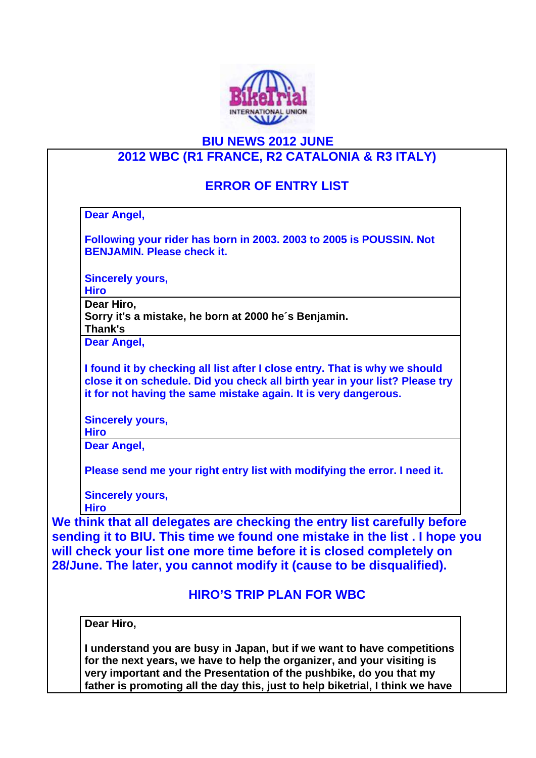

## **BIU NEWS 2012 JUNE**

## **2012 WBC (R1 FRANCE, R2 CATALONIA & R3 ITALY)**

## **ERROR OF ENTRY LIST**

**Dear Angel,**

**Following your rider has born in 2003. 2003 to 2005 is POUSSIN. Not BENJAMIN. Please check it.**

**Sincerely yours,**

**Hiro**

**Dear Hiro,**

**Sorry it's a mistake, he born at 2000 he´s Benjamin. Thank's**

**Dear Angel,**

**I found it by checking all list after I close entry. That is why we should close it on schedule. Did you check all birth year in your list? Please try it for not having the same mistake again. It is very dangerous.**

**Sincerely yours,**

**Hiro**

**Dear Angel,**

**Please send me your right entry list with modifying the error. I need it.**

**Sincerely yours,**

**Hiro**

**We think that all delegates are checking the entry list carefully before sending it to BIU. This time we found one mistake in the list . I hope you will check your list one more time before it is closed completely on 28/June. The later, you cannot modify it (cause to be disqualified).**

## **HIRO'S TRIP PLAN FOR WBC**

**Dear Hiro,**

**I understand you are busy in Japan, but if we want to have competitions for the next years, we have to help the organizer, and your visiting is very important and the Presentation of the pushbike, do you that my father is promoting all the day this, just to help biketrial, I think we have**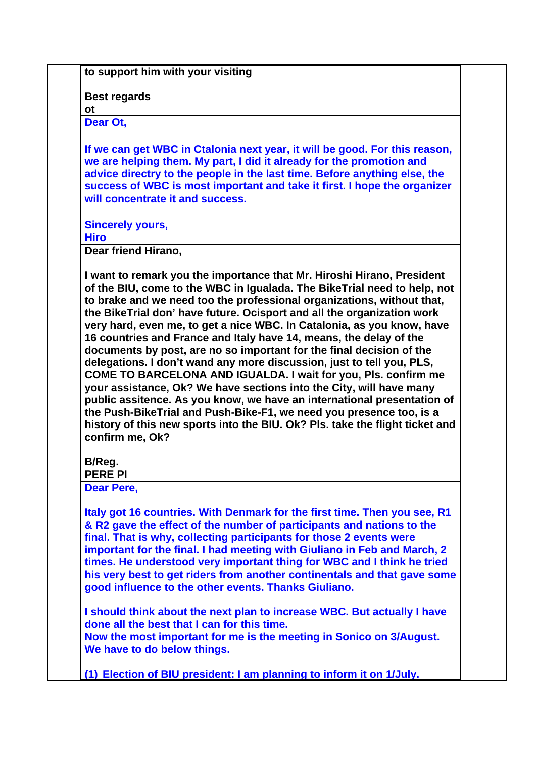**to support him with your visiting**

**Best regards**

**ot Dear Ot,**

**If we can get WBC in Ctalonia next year, it will be good. For this reason, we are helping them. My part, I did it already for the promotion and advice directry to the people in the last time. Before anything else, the success of WBC is most important and take it first. I hope the organizer will concentrate it and success.** 

**Sincerely yours,**

**Hiro**

**Dear friend Hirano,**

**I want to remark you the importance that Mr. Hiroshi Hirano, President of the BIU, come to the WBC in Igualada. The BikeTrial need to help, not to brake and we need too the professional organizations, without that, the BikeTrial don' have future. Ocisport and all the organization work very hard, even me, to get a nice WBC. In Catalonia, as you know, have 16 countries and France and Italy have 14, means, the delay of the documents by post, are no so important for the final decision of the delegations. I don't wand any more discussion, just to tell you, PLS, COME TO BARCELONA AND IGUALDA. I wait for you, Pls. confirm me your assistance, Ok? We have sections into the City, will have many public assitence. As you know, we have an international presentation of the Push-BikeTrial and Push-Bike-F1, we need you presence too, is a history of this new sports into the BIU. Ok? Pls. take the flight ticket and confirm me, Ok?**

**B/Reg.**

**PERE PI**

**Dear Pere,**

**Italy got 16 countries. With Denmark for the first time. Then you see, R1 & R2 gave the effect of the number of participants and nations to the final. That is why, collecting participants for those 2 events were important for the final. I had meeting with Giuliano in Feb and March, 2 times. He understood very important thing for WBC and I think he tried his very best to get riders from another continentals and that gave some good influence to the other events. Thanks Giuliano.**

**I should think about the next plan to increase WBC. But actually I have done all the best that I can for this time. Now the most important for me is the meeting in Sonico on 3/August.**

**We have to do below things.**

**(1) Election of BIU president: I am planning to inform it on 1/July.**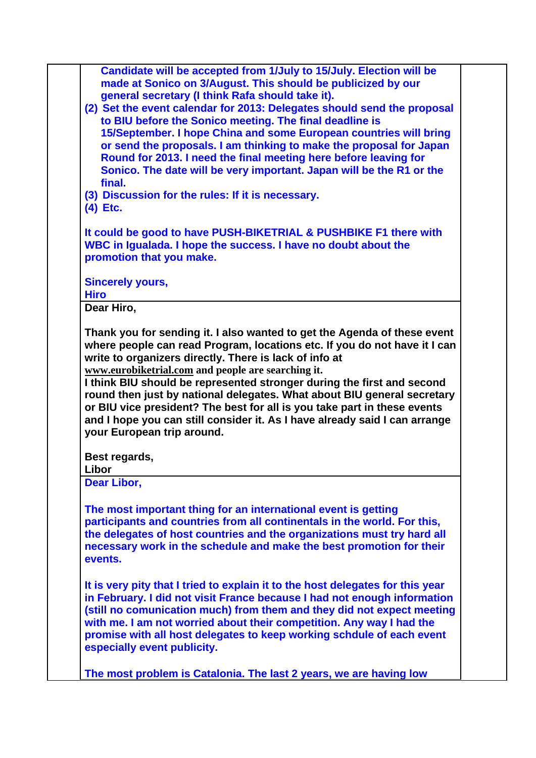| Candidate will be accepted from 1/July to 15/July. Election will be<br>made at Sonico on 3/August. This should be publicized by our<br>general secretary (I think Rafa should take it).                                                                                                                                                                                                                                                                    |  |
|------------------------------------------------------------------------------------------------------------------------------------------------------------------------------------------------------------------------------------------------------------------------------------------------------------------------------------------------------------------------------------------------------------------------------------------------------------|--|
|                                                                                                                                                                                                                                                                                                                                                                                                                                                            |  |
|                                                                                                                                                                                                                                                                                                                                                                                                                                                            |  |
|                                                                                                                                                                                                                                                                                                                                                                                                                                                            |  |
| (2) Set the event calendar for 2013: Delegates should send the proposal                                                                                                                                                                                                                                                                                                                                                                                    |  |
| to BIU before the Sonico meeting. The final deadline is                                                                                                                                                                                                                                                                                                                                                                                                    |  |
| 15/September. I hope China and some European countries will bring                                                                                                                                                                                                                                                                                                                                                                                          |  |
| or send the proposals. I am thinking to make the proposal for Japan                                                                                                                                                                                                                                                                                                                                                                                        |  |
| Round for 2013. I need the final meeting here before leaving for                                                                                                                                                                                                                                                                                                                                                                                           |  |
| Sonico. The date will be very important. Japan will be the R1 or the                                                                                                                                                                                                                                                                                                                                                                                       |  |
| final.                                                                                                                                                                                                                                                                                                                                                                                                                                                     |  |
| (3) Discussion for the rules: If it is necessary.                                                                                                                                                                                                                                                                                                                                                                                                          |  |
| $(4)$ Etc.                                                                                                                                                                                                                                                                                                                                                                                                                                                 |  |
| It could be good to have PUSH-BIKETRIAL & PUSHBIKE F1 there with                                                                                                                                                                                                                                                                                                                                                                                           |  |
| WBC in Igualada. I hope the success. I have no doubt about the                                                                                                                                                                                                                                                                                                                                                                                             |  |
| promotion that you make.                                                                                                                                                                                                                                                                                                                                                                                                                                   |  |
|                                                                                                                                                                                                                                                                                                                                                                                                                                                            |  |
| <b>Sincerely yours,</b>                                                                                                                                                                                                                                                                                                                                                                                                                                    |  |
| <b>Hiro</b>                                                                                                                                                                                                                                                                                                                                                                                                                                                |  |
| Dear Hiro,                                                                                                                                                                                                                                                                                                                                                                                                                                                 |  |
|                                                                                                                                                                                                                                                                                                                                                                                                                                                            |  |
| or BIU vice president? The best for all is you take part in these events<br>and I hope you can still consider it. As I have already said I can arrange                                                                                                                                                                                                                                                                                                     |  |
|                                                                                                                                                                                                                                                                                                                                                                                                                                                            |  |
|                                                                                                                                                                                                                                                                                                                                                                                                                                                            |  |
|                                                                                                                                                                                                                                                                                                                                                                                                                                                            |  |
| round then just by national delegates. What about BIU general secretary<br>your European trip around.<br>Best regards,<br>Libor<br>Dear Libor,<br>The most important thing for an international event is getting<br>participants and countries from all continentals in the world. For this,<br>the delegates of host countries and the organizations must try hard all<br>necessary work in the schedule and make the best promotion for their<br>events. |  |
| It is very pity that I tried to explain it to the host delegates for this year<br>in February. I did not visit France because I had not enough information<br>(still no comunication much) from them and they did not expect meeting<br>with me. I am not worried about their competition. Any way I had the<br>promise with all host delegates to keep working schdule of each event<br>especially event publicity.                                       |  |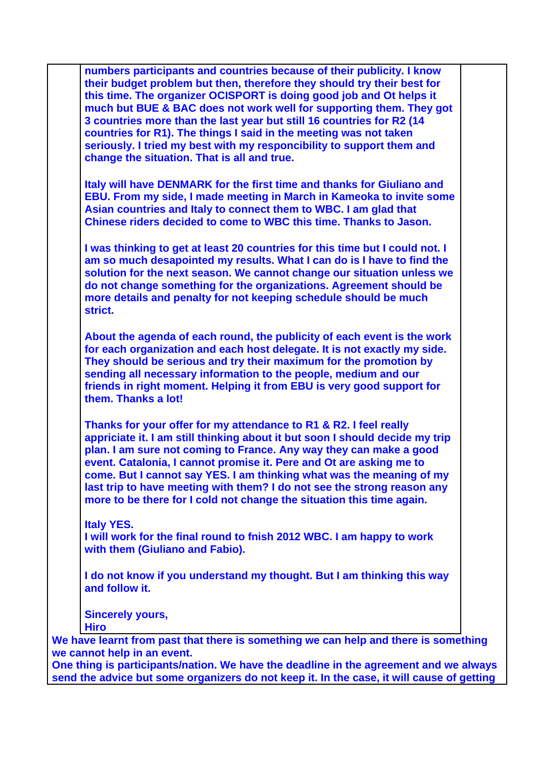**numbers participants and countries because of their publicity. I know their budget problem but then, therefore they should try their best for this time. The organizer OCISPORT is doing good job and Ot helps it much but BUE & BAC does not work well for supporting them. They got 3 countries more than the last year but still 16 countries for R2 (14 countries for R1). The things I said in the meeting was not taken seriously. I tried my best with my responcibility to support them and change the situation. That is all and true. Italy will have DENMARK for the first time and thanks for Giuliano and EBU. From my side, I made meeting in March in Kameoka to invite some Asian countries and Italy to connect them to WBC. I am glad that Chinese riders decided to come to WBC this time. Thanks to Jason. I was thinking to get at least 20 countries for this time but I could not. I am so much desapointed my results. What I can do is I have to find the solution for the next season. We cannot change our situation unless we do not change something for the organizations. Agreement should be more details and penalty for not keeping schedule should be much strict. About the agenda of each round, the publicity of each event is the work for each organization and each host delegate. It is not exactly my side. They should be serious and try their maximum for the promotion by sending all necessary information to the people, medium and our friends in right moment. Helping it from EBU is very good support for them. Thanks a lot! Thanks for your offer for my attendance to R1 & R2. I feel really appriciate it. I am still thinking about it but soon I should decide my trip plan. I am sure not coming to France. Any way they can make a good event. Catalonia, I cannot promise it. Pere and Ot are asking me to come. But I cannot say YES. I am thinking what was the meaning of my last trip to have meeting with them? I do not see the strong reason any more to be there for I cold not change the situation this time again. Italy YES. I will work for the final round to fnish 2012 WBC. I am happy to work with them (Giuliano and Fabio). I do not know if you understand my thought. But I am thinking this way and follow it. Sincerely yours, Hiro We have learnt from past that there is something we can help and there is something we cannot help in an event.** 

**One thing is participants/nation. We have the deadline in the agreement and we always send the advice but some organizers do not keep it. In the case, it will cause of getting**